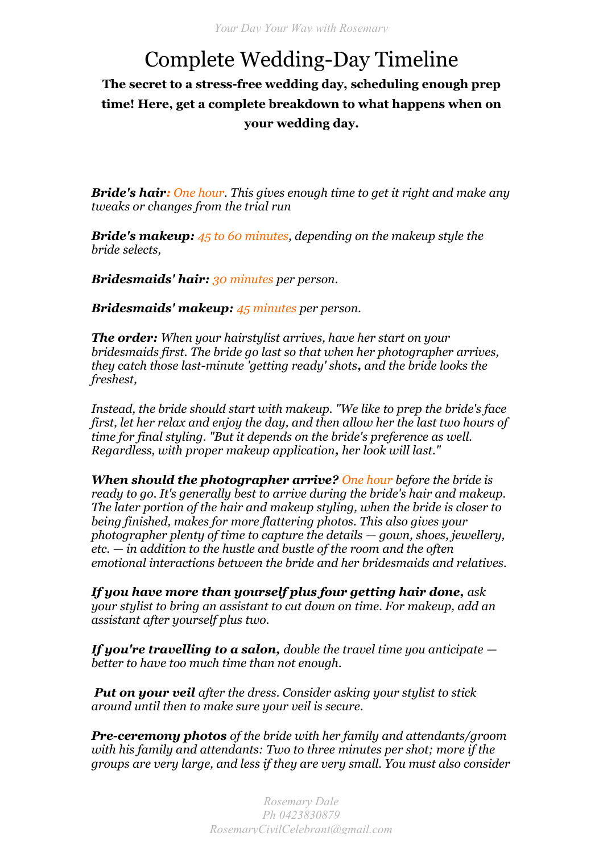## Complete Wedding-Day Timeline

**The secret to a stress-free wedding day, scheduling enough prep time! Here, get a complete breakdown to what happens when on your wedding day.**

*Bride's hair: One hour. This gives enough time to get it right and make any tweaks or changes from the trial run*

*Bride's makeup: 45 to 60 minutes, depending on the makeup style the bride selects,* 

*Bridesmaids' hair: 30 minutes per person.*

*Bridesmaids' makeup: 45 minutes per person.*

*The order: When your hairstylist arrives, have her start on your bridesmaids first. The bride go last so that when her photographer arrives, they catch those last-minute 'getting ready' shots, and the bride looks the freshest,*

*Instead, the bride should start with makeup. "We like to prep the bride's face first, let her relax and enjoy the day, and then allow her the last two hours of time for final styling. "But it depends on the bride's preference as well. Regardless, with proper makeup application, her look will last."*

*When should the photographer arrive? One hour before the bride is ready to go. It's generally best to arrive during the bride's hair and makeup. The later portion of the hair and makeup styling, when the bride is closer to being finished, makes for more flattering photos. This also gives your photographer plenty of time to capture the details — gown, shoes, jewellery, etc. — in addition to the hustle and bustle of the room and the often emotional interactions between the bride and her bridesmaids and relatives.*

*If you have more than yourself plus four getting hair done, ask your stylist to bring an assistant to cut down on time. For makeup, add an assistant after yourself plus two.*

*If you're travelling to a salon, double the travel time you anticipate better to have too much time than not enough.* 

*Put on your veil after the dress. Consider asking your stylist to stick around until then to make sure your veil is secure.*

*Pre-ceremony photos of the bride with her family and attendants/groom with his family and attendants: Two to three minutes per shot; more if the groups are very large, and less if they are very small. You must also consider*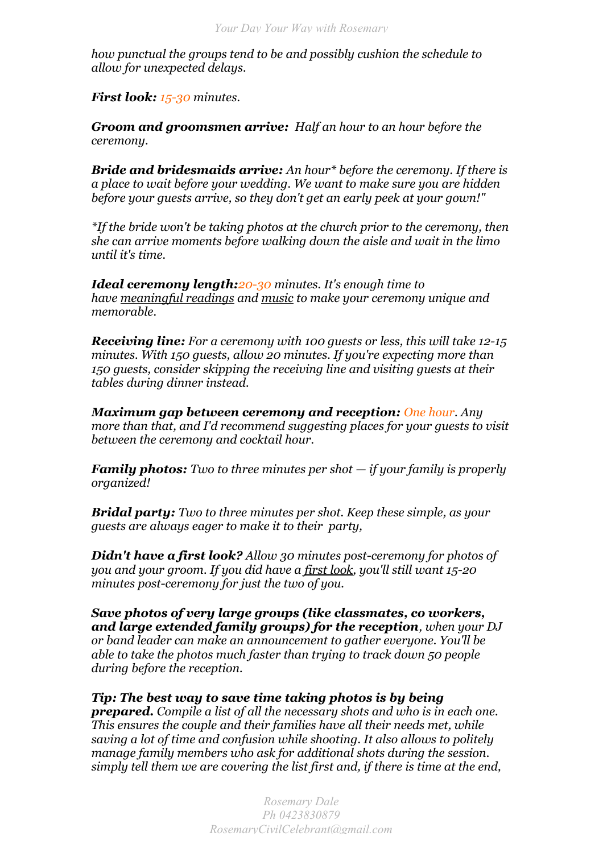*how punctual the groups tend to be and possibly cushion the schedule to allow for unexpected delays.*

*First look: 15-30 minutes.*

*Groom and groomsmen arrive: Half an hour to an hour before the ceremony.*

*Bride and bridesmaids arrive: An hour\* before the ceremony. If there is a place to wait before your wedding. We want to make sure you are hidden before your guests arrive, so they don't get an early peek at your gown!"* 

*\*If the bride won't be taking photos at the church prior to the ceremony, then she can arrive moments before walking down the aisle and wait in the limo until it's time.*

*Ideal ceremony length:20-30 minutes. It's enough time to have [meaningful readings](http://bridalguide.com/planning/the-details/ceremony/wedding-readings-from-books) and [music](http://www.bridalguide.com/planning/wedding-reception/complete-guide-to-wedding-music) to make your ceremony unique and memorable.*

*Receiving line: For a ceremony with 100 guests or less, this will take 12-15 minutes. With 150 guests, allow 20 minutes. If you're expecting more than 150 guests, consider skipping the receiving line and visiting guests at their tables during dinner instead.*

*Maximum gap between ceremony and reception: One hour. Any more than that, and I'd recommend suggesting places for your guests to visit between the ceremony and cocktail hour.* 

*Family photos: Two to three minutes per shot — if your family is properly organized!*

*Bridal party: Two to three minutes per shot. Keep these simple, as your guests are always eager to make it to their party,* 

*Didn't have a first look? Allow 30 minutes post-ceremony for photos of you and your groom. If you did have a [first look,](http://www.bridalguide.com/planning/first-look-photos) you'll still want 15-20 minutes post-ceremony for just the two of you.*

*Save photos of very large groups (like classmates, co workers, and large extended family groups) for the reception, when your DJ or band leader can make an announcement to gather everyone. You'll be able to take the photos much faster than trying to track down 50 people during before the reception.*

*Tip: The best way to save time taking photos is by being prepared. Compile a list of all the necessary shots and who is in each one. This ensures the couple and their families have all their needs met, while saving a lot of time and confusion while shooting. It also allows to politely manage family members who ask for additional shots during the session. simply tell them we are covering the list first and, if there is time at the end,*